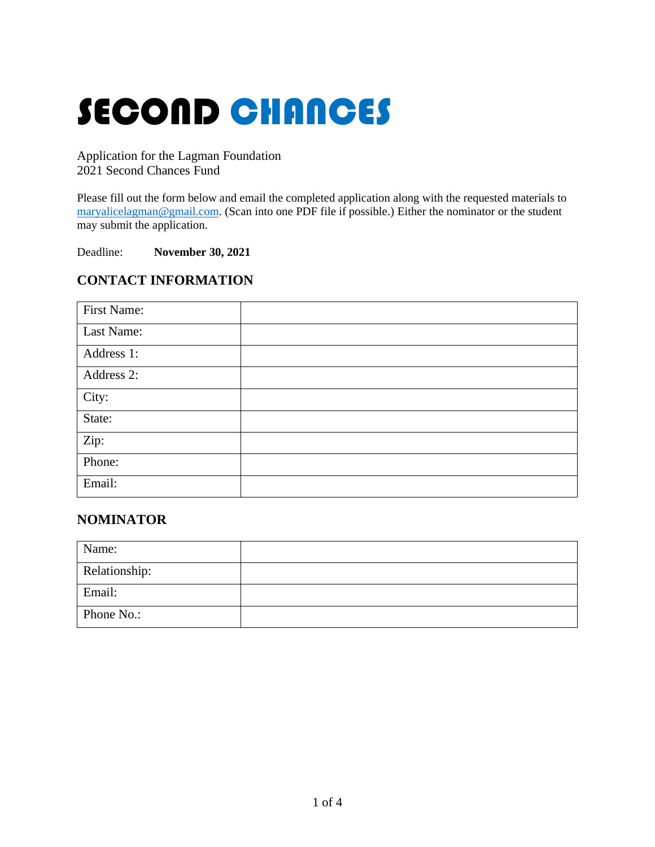# SECOND CHANCES

Application for the Lagman Foundation 2021 Second Chances Fund

Please fill out the form below and email the completed application along with the requested materials to [maryalicelagman@gmail.com.](mailto:maryalicelagman@gmail.com) (Scan into one PDF file if possible.) Either the nominator or the student may submit the application.

Deadline: **November 30, 2021**

## **CONTACT INFORMATION**

| <b>First Name:</b> |  |
|--------------------|--|
| Last Name:         |  |
| Address 1:         |  |
| Address 2:         |  |
| City:              |  |
| State:             |  |
| Zip:               |  |
| Phone:             |  |
| Email:             |  |

### **NOMINATOR**

| Name:         |  |
|---------------|--|
| Relationship: |  |
| Email:        |  |
| Phone No.:    |  |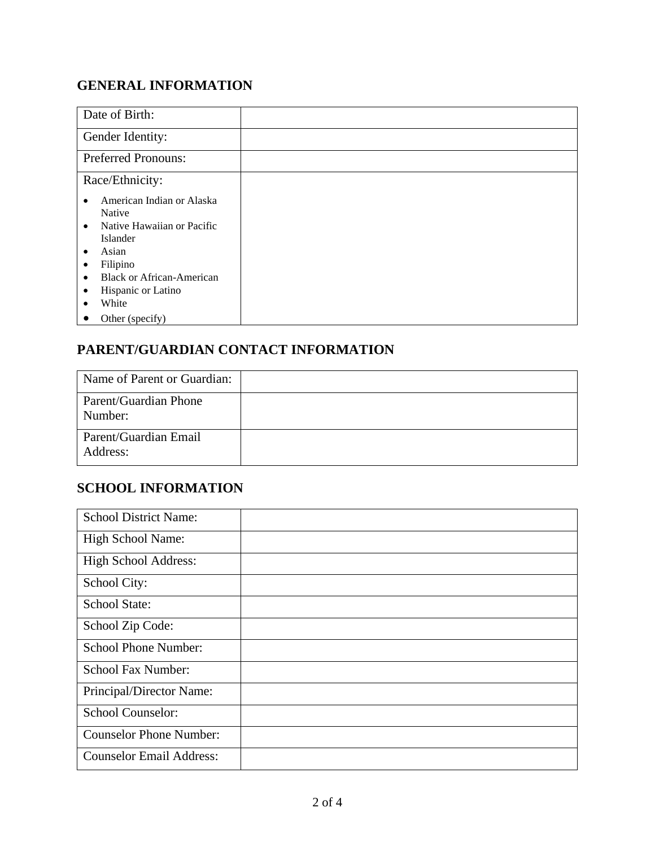# **GENERAL INFORMATION**

| Date of Birth:                                                                                                                                                                                                                                           |  |
|----------------------------------------------------------------------------------------------------------------------------------------------------------------------------------------------------------------------------------------------------------|--|
| Gender Identity:                                                                                                                                                                                                                                         |  |
| <b>Preferred Pronouns:</b>                                                                                                                                                                                                                               |  |
| Race/Ethnicity:                                                                                                                                                                                                                                          |  |
| American Indian or Alaska<br>$\bullet$<br>Native<br>Native Hawaiian or Pacific<br>$\bullet$<br>Islander<br>Asian<br>٠<br>Filipino<br>$\bullet$<br><b>Black or African-American</b><br>$\bullet$<br>Hispanic or Latino<br>$\bullet$<br>White<br>$\bullet$ |  |
| Other (specify)<br>$\bullet$                                                                                                                                                                                                                             |  |

# **PARENT/GUARDIAN CONTACT INFORMATION**

| Name of Parent or Guardian:       |  |
|-----------------------------------|--|
| Parent/Guardian Phone<br>Number:  |  |
| Parent/Guardian Email<br>Address: |  |

## **SCHOOL INFORMATION**

| <b>School District Name:</b>    |  |
|---------------------------------|--|
| <b>High School Name:</b>        |  |
| <b>High School Address:</b>     |  |
| School City:                    |  |
| School State:                   |  |
| School Zip Code:                |  |
| <b>School Phone Number:</b>     |  |
| <b>School Fax Number:</b>       |  |
| Principal/Director Name:        |  |
| <b>School Counselor:</b>        |  |
| <b>Counselor Phone Number:</b>  |  |
| <b>Counselor Email Address:</b> |  |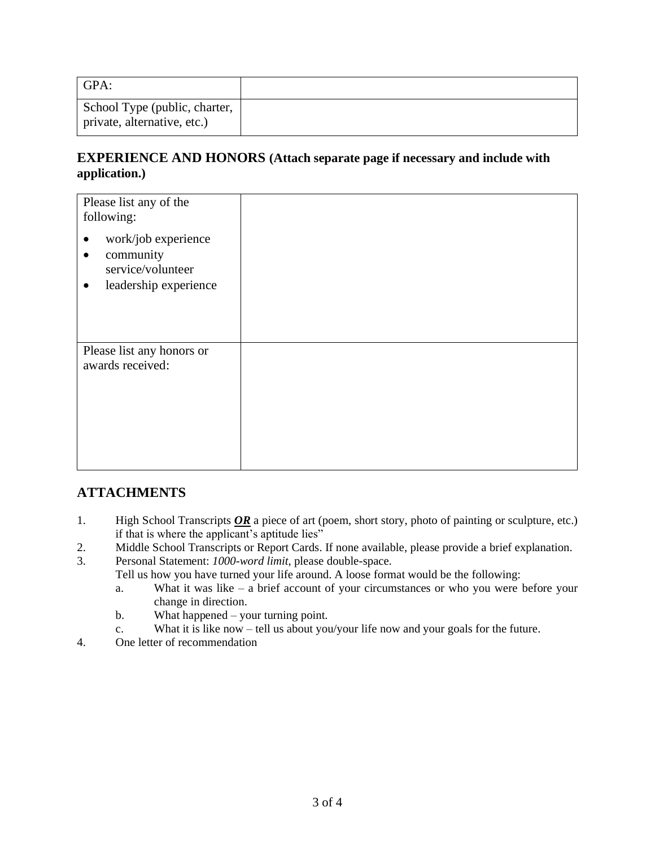| GPA:                                                         |  |
|--------------------------------------------------------------|--|
| School Type (public, charter,<br>private, alternative, etc.) |  |

#### **EXPERIENCE AND HONORS (Attach separate page if necessary and include with application.)**

| Please list any of the<br>following:<br>work/job experience<br>٠<br>community<br>$\bullet$<br>service/volunteer<br>leadership experience<br>$\bullet$ |  |
|-------------------------------------------------------------------------------------------------------------------------------------------------------|--|
| Please list any honors or<br>awards received:                                                                                                         |  |

## **ATTACHMENTS**

- 1. High School Transcripts *OR* a piece of art (poem, short story, photo of painting or sculpture, etc.) if that is where the applicant's aptitude lies"
- 2. Middle School Transcripts or Report Cards. If none available, please provide a brief explanation.
- 3. Personal Statement: *1000-word limit*, please double-space.
	- Tell us how you have turned your life around. A loose format would be the following:
		- a. What it was like a brief account of your circumstances or who you were before your change in direction.
		- b. What happened your turning point.
		- c. What it is like now tell us about you/your life now and your goals for the future.
- 4. One letter of recommendation